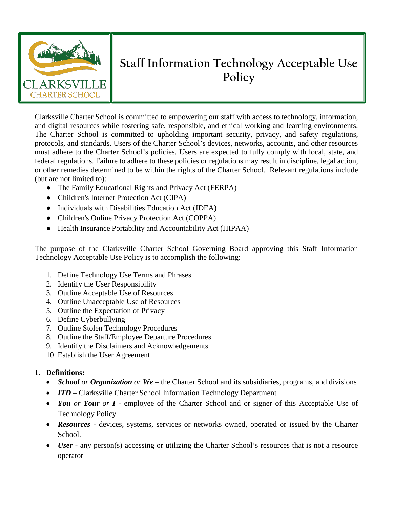

# **Staff Information Technology Acceptable Use Policy**

Clarksville Charter School is committed to empowering our staff with access to technology, information, and digital resources while fostering safe, responsible, and ethical working and learning environments. The Charter School is committed to upholding important security, privacy, and safety regulations, protocols, and standards. Users of the Charter School's devices, networks, accounts, and other resources must adhere to the Charter School's policies. Users are expected to fully comply with local, state, and federal regulations. Failure to adhere to these policies or regulations may result in discipline, legal action, or other remedies determined to be within the rights of the Charter School. Relevant regulations include (but are not limited to):

- The Family Educational Rights and Privacy Act (FERPA)
- Children's Internet Protection Act (CIPA)
- Individuals with Disabilities Education Act (IDEA)
- Children's Online Privacy Protection Act (COPPA)
- Health Insurance Portability and Accountability Act (HIPAA)

The purpose of the Clarksville Charter School Governing Board approving this Staff Information Technology Acceptable Use Policy is to accomplish the following:

- 1. Define Technology Use Terms and Phrases
- 2. Identify the User Responsibility
- 3. Outline Acceptable Use of Resources
- 4. Outline Unacceptable Use of Resources
- 5. Outline the Expectation of Privacy
- 6. Define Cyberbullying
- 7. Outline Stolen Technology Procedures
- 8. Outline the Staff/Employee Departure Procedures
- 9. Identify the Disclaimers and Acknowledgements
- 10. Establish the User Agreement

## **1. Definitions:**

- *School or Organization or We* the Charter School and its subsidiaries, programs, and divisions
- *ITD* Clarksville Charter School Information Technology Department
- *You or Your or I* employee of the Charter School and or signer of this Acceptable Use of Technology Policy
- *Resources* devices, systems, services or networks owned, operated or issued by the Charter School.
- *User* any person(s) accessing or utilizing the Charter School's resources that is not a resource operator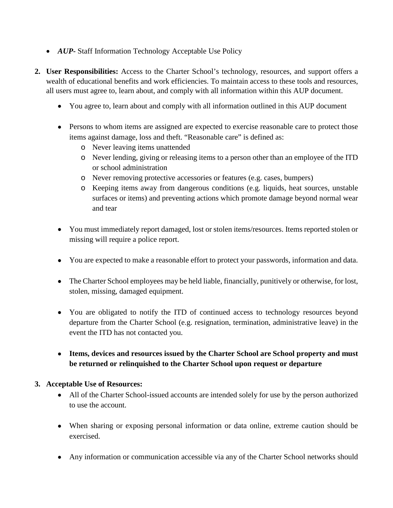- *AUP***-** Staff Information Technology Acceptable Use Policy
- **2. User Responsibilities:** Access to the Charter School's technology, resources, and support offers a wealth of educational benefits and work efficiencies. To maintain access to these tools and resources, all users must agree to, learn about, and comply with all information within this AUP document.
	- You agree to, learn about and comply with all information outlined in this AUP document
	- Persons to whom items are assigned are expected to exercise reasonable care to protect those items against damage, loss and theft. "Reasonable care" is defined as:
		- o Never leaving items unattended
		- o Never lending, giving or releasing items to a person other than an employee of the ITD or school administration
		- o Never removing protective accessories or features (e.g. cases, bumpers)
		- o Keeping items away from dangerous conditions (e.g. liquids, heat sources, unstable surfaces or items) and preventing actions which promote damage beyond normal wear and tear
	- You must immediately report damaged, lost or stolen items/resources. Items reported stolen or missing will require a police report.
	- You are expected to make a reasonable effort to protect your passwords, information and data.
	- The Charter School employees may be held liable, financially, punitively or otherwise, for lost, stolen, missing, damaged equipment.
	- You are obligated to notify the ITD of continued access to technology resources beyond departure from the Charter School (e.g. resignation, termination, administrative leave) in the event the ITD has not contacted you.
	- **Items, devices and resources issued by the Charter School are School property and must be returned or relinquished to the Charter School upon request or departure**

#### **3. Acceptable Use of Resources:**

- All of the Charter School-issued accounts are intended solely for use by the person authorized to use the account.
- When sharing or exposing personal information or data online, extreme caution should be exercised.
- Any information or communication accessible via any of the Charter School networks should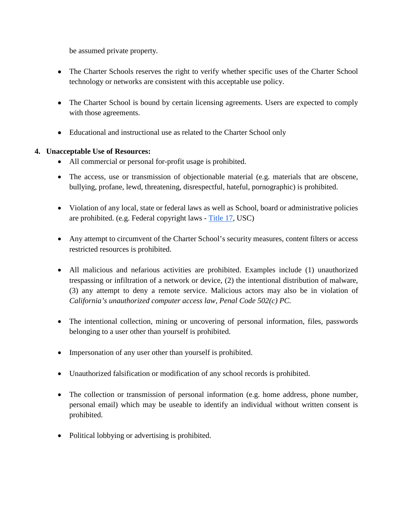be assumed private property.

- The Charter Schools reserves the right to verify whether specific uses of the Charter School technology or networks are consistent with this acceptable use policy.
- The Charter School is bound by certain licensing agreements. Users are expected to comply with those agreements.
- Educational and instructional use as related to the Charter School only

## **4. Unacceptable Use of Resources:**

- All commercial or personal for-profit usage is prohibited.
- The access, use or transmission of objectionable material (e.g. materials that are obscene, bullying, profane, lewd, threatening, disrespectful, hateful, pornographic) is prohibited.
- Violation of any local, state or federal laws as well as School, board or administrative policies are prohibited. (e.g. Federal copyright laws - [Title 17,](https://www.copyright.gov/title17/) USC)
- Any attempt to circumvent of the Charter School's security measures, content filters or access restricted resources is prohibited.
- All malicious and nefarious activities are prohibited. Examples include (1) unauthorized trespassing or infiltration of a network or device, (2) the intentional distribution of malware, (3) any attempt to deny a remote service. Malicious actors may also be in violation of *California's unauthorized computer access law, Penal Code 502(c) PC.*
- The intentional collection, mining or uncovering of personal information, files, passwords belonging to a user other than yourself is prohibited.
- Impersonation of any user other than yourself is prohibited.
- Unauthorized falsification or modification of any school records is prohibited.
- The collection or transmission of personal information (e.g. home address, phone number, personal email) which may be useable to identify an individual without written consent is prohibited.
- Political lobbying or advertising is prohibited.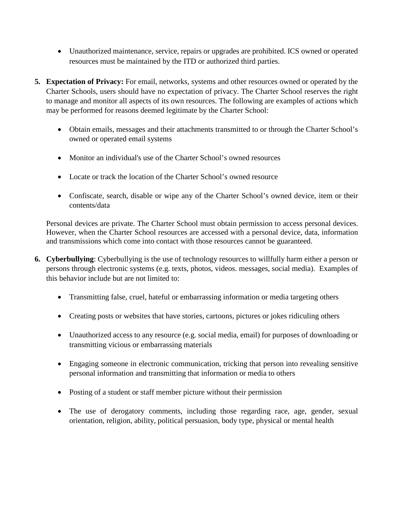- Unauthorized maintenance, service, repairs or upgrades are prohibited. ICS owned or operated resources must be maintained by the ITD or authorized third parties.
- **5. Expectation of Privacy:** For email, networks, systems and other resources owned or operated by the Charter Schools, users should have no expectation of privacy. The Charter School reserves the right to manage and monitor all aspects of its own resources. The following are examples of actions which may be performed for reasons deemed legitimate by the Charter School:
	- Obtain emails, messages and their attachments transmitted to or through the Charter School's owned or operated email systems
	- Monitor an individual's use of the Charter School's owned resources
	- Locate or track the location of the Charter School's owned resource
	- Confiscate, search, disable or wipe any of the Charter School's owned device, item or their contents/data

Personal devices are private. The Charter School must obtain permission to access personal devices. However, when the Charter School resources are accessed with a personal device, data, information and transmissions which come into contact with those resources cannot be guaranteed.

- **6. Cyberbullying**: Cyberbullying is the use of technology resources to willfully harm either a person or persons through electronic systems (e.g. texts, photos, videos. messages, social media). Examples of this behavior include but are not limited to:
	- Transmitting false, cruel, hateful or embarrassing information or media targeting others
	- Creating posts or websites that have stories, cartoons, pictures or jokes ridiculing others
	- Unauthorized access to any resource (e.g. social media, email) for purposes of downloading or transmitting vicious or embarrassing materials
	- Engaging someone in electronic communication, tricking that person into revealing sensitive personal information and transmitting that information or media to others
	- Posting of a student or staff member picture without their permission
	- The use of derogatory comments, including those regarding race, age, gender, sexual orientation, religion, ability, political persuasion, body type, physical or mental health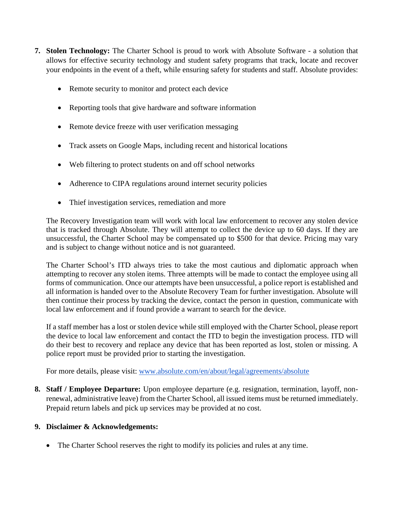- **7. Stolen Technology:** The Charter School is proud to work with Absolute Software a solution that allows for effective security technology and student safety programs that track, locate and recover your endpoints in the event of a theft, while ensuring safety for students and staff. Absolute provides:
	- Remote security to monitor and protect each device
	- Reporting tools that give hardware and software information
	- Remote device freeze with user verification messaging
	- Track assets on Google Maps, including recent and historical locations
	- Web filtering to protect students on and off school networks
	- Adherence to CIPA regulations around internet security policies
	- Thief investigation services, remediation and more

The Recovery Investigation team will work with local law enforcement to recover any stolen device that is tracked through Absolute. They will attempt to collect the device up to 60 days. If they are unsuccessful, the Charter School may be compensated up to \$500 for that device. Pricing may vary and is subject to change without notice and is not guaranteed.

The Charter School's ITD always tries to take the most cautious and diplomatic approach when attempting to recover any stolen items. Three attempts will be made to contact the employee using all forms of communication. Once our attempts have been unsuccessful, a police report is established and all information is handed over to the Absolute Recovery Team for further investigation. Absolute will then continue their process by tracking the device, contact the person in question, communicate with local law enforcement and if found provide a warrant to search for the device.

If a staff member has a lost or stolen device while still employed with the Charter School, please report the device to local law enforcement and contact the ITD to begin the investigation process. ITD will do their best to recovery and replace any device that has been reported as lost, stolen or missing. A police report must be provided prior to starting the investigation.

For more details, please visit: [www.absolute.com/en/about/legal/agreements/absolute](http://www.absolute.com/en/about/legal/agreements/absolute)

**8. Staff / Employee Departure:** Upon employee departure (e.g. resignation, termination, layoff, nonrenewal, administrative leave) from the Charter School, all issued items must be returned immediately. Prepaid return labels and pick up services may be provided at no cost.

#### **9. Disclaimer & Acknowledgements:**

• The Charter School reserves the right to modify its policies and rules at any time.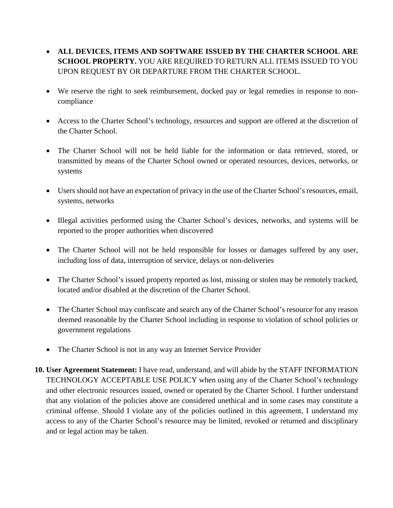- **ALL DEVICES, ITEMS AND SOFTWARE ISSUED BY THE CHARTER SCHOOL ARE SCHOOL PROPERTY.** YOU ARE REQUIRED TO RETURN ALL ITEMS ISSUED TO YOU UPON REQUEST BY OR DEPARTURE FROM THE CHARTER SCHOOL.
- We reserve the right to seek reimbursement, docked pay or legal remedies in response to noncompliance
- Access to the Charter School's technology, resources and support are offered at the discretion of the Charter School.
- The Charter School will not be held liable for the information or data retrieved, stored, or transmitted by means of the Charter School owned or operated resources, devices, networks, or systems
- Users should not have an expectation of privacy in the use of the Charter School's resources, email, systems, networks
- Illegal activities performed using the Charter School's devices, networks, and systems will be reported to the proper authorities when discovered
- The Charter School will not be held responsible for losses or damages suffered by any user, including loss of data, interruption of service, delays or non-deliveries
- The Charter School's issued property reported as lost, missing or stolen may be remotely tracked, located and/or disabled at the discretion of the Charter School.
- The Charter School may confiscate and search any of the Charter School's resource for any reason deemed reasonable by the Charter School including in response to violation of school policies or government regulations
- The Charter School is not in any way an Internet Service Provider
- **10. User Agreement Statement:** I have read, understand, and will abide by the STAFF INFORMATION TECHNOLOGY ACCEPTABLE USE POLICY when using any of the Charter School's technology and other electronic resources issued, owned or operated by the Charter School. I further understand that any violation of the policies above are considered unethical and in some cases may constitute a criminal offense. Should I violate any of the policies outlined in this agreement, I understand my access to any of the Charter School's resource may be limited, revoked or returned and disciplinary and or legal action may be taken.